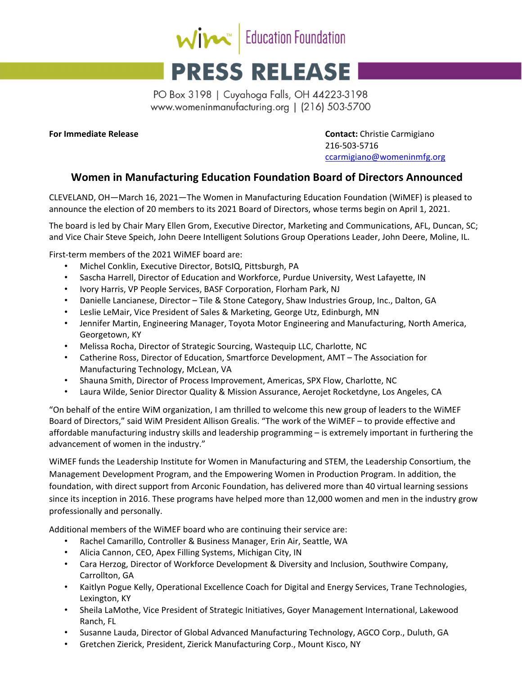

## **PRESS RELEASE**

PO Box 3198 | Cuyahoga Falls, OH 44223-3198 www.womeninmanufacturing.org | (216) 503-5700

**For Immediate Release Contact:** Christie Carmigiano 216‐503‐5716 ccarmigiano@womeninmfg.org

## **Women in Manufacturing Education Foundation Board of Directors Announced**

CLEVELAND, OH—March 16, 2021—The Women in Manufacturing Education Foundation (WiMEF) is pleased to announce the election of 20 members to its 2021 Board of Directors, whose terms begin on April 1, 2021.

The board is led by Chair Mary Ellen Grom, Executive Director, Marketing and Communications, AFL, Duncan, SC; and Vice Chair Steve Speich, John Deere Intelligent Solutions Group Operations Leader, John Deere, Moline, IL.

First-term members of the 2021 WIMEF board are:

- Michel Conklin, Executive Director, BotsIQ, Pittsburgh, PA
- Sascha Harrell, Director of Education and Workforce, Purdue University, West Lafayette, IN
- Ivory Harris, VP People Services, BASF Corporation, Florham Park, NJ
- Danielle Lancianese, Director Tile & Stone Category, Shaw Industries Group, Inc., Dalton, GA
- Leslie LeMair, Vice President of Sales & Marketing, George Utz, Edinburgh, MN
- Jennifer Martin, Engineering Manager, Toyota Motor Engineering and Manufacturing, North America, Georgetown, KY
- Melissa Rocha, Director of Strategic Sourcing, Wastequip LLC, Charlotte, NC
- Catherine Ross, Director of Education, Smartforce Development, AMT The Association for Manufacturing Technology, McLean, VA
- Shauna Smith, Director of Process Improvement, Americas, SPX Flow, Charlotte, NC
- Laura Wilde, Senior Director Quality & Mission Assurance, Aerojet Rocketdyne, Los Angeles, CA

"On behalf of the entire WiM organization, I am thrilled to welcome this new group of leaders to the WiMEF Board of Directors," said WiM President Allison Grealis. "The work of the WiMEF – to provide effective and affordable manufacturing industry skills and leadership programming – is extremely important in furthering the advancement of women in the industry."

WiMEF funds the Leadership Institute for Women in Manufacturing and STEM, the Leadership Consortium, the Management Development Program, and the Empowering Women in Production Program. In addition, the foundation, with direct support from Arconic Foundation, has delivered more than 40 virtual learning sessions since its inception in 2016. These programs have helped more than 12,000 women and men in the industry grow professionally and personally.

Additional members of the WiMEF board who are continuing their service are:

- Rachel Camarillo, Controller & Business Manager, Erin Air, Seattle, WA
- Alicia Cannon, CEO, Apex Filling Systems, Michigan City, IN
- Cara Herzog, Director of Workforce Development & Diversity and Inclusion, Southwire Company, Carrollton, GA
- Kaitlyn Pogue Kelly, Operational Excellence Coach for Digital and Energy Services, Trane Technologies, Lexington, KY
- Sheila LaMothe, Vice President of Strategic Initiatives, Goyer Management International, Lakewood Ranch, FL
- Susanne Lauda, Director of Global Advanced Manufacturing Technology, AGCO Corp., Duluth, GA
- Gretchen Zierick, President, Zierick Manufacturing Corp., Mount Kisco, NY